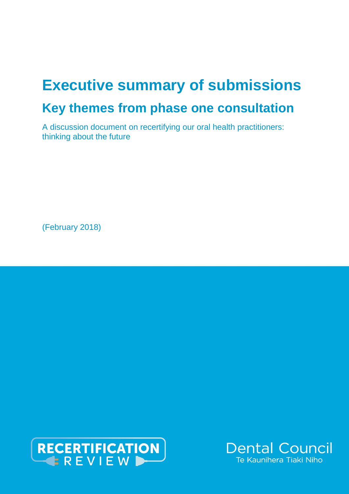# **Executive summary of submissions Key themes from phase one consultation**

A discussion document on recertifying our oral health practitioners: thinking about the future

(February 2018)



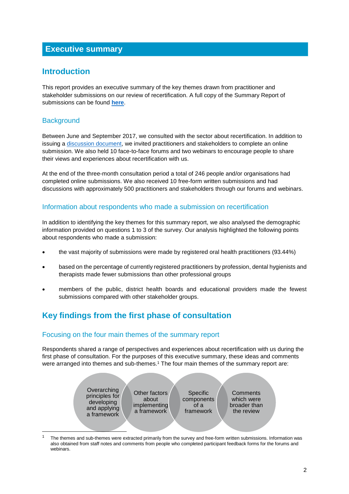# **Executive summary**

## **Introduction**

This report provides an executive summary of the key themes drawn from practitioner and stakeholder submissions on our review of recertification. A full copy of the Summary Report of submissions can be found **[here](http://dcnz.org.nz/assets/Uploads/Consultations/2017/Recertification-consultation/FINAL-summary-report-phase-one-consultation.pdf)**.

## **Background**

1

Between June and September 2017, we consulted with the sector about recertification. In addition to issuing a [discussion document,](http://dcnz.org.nz/assets/Uploads/Recertification-review/FINAL-discussion-document-on-recertification-for-issue-27-June-2017.pdf) we invited practitioners and stakeholders to complete an online submission. We also held 10 face-to-face forums and two webinars to encourage people to share their views and experiences about recertification with us.

At the end of the three-month consultation period a total of 246 people and/or organisations had completed online submissions. We also received 10 free-form written submissions and had discussions with approximately 500 practitioners and stakeholders through our forums and webinars.

#### Information about respondents who made a submission on recertification

In addition to identifying the key themes for this summary report, we also analysed the demographic information provided on questions 1 to 3 of the survey. Our analysis highlighted the following points about respondents who made a submission:

- the vast majority of submissions were made by registered oral health practitioners (93.44%)
- based on the percentage of currently registered practitioners by profession, dental hygienists and therapists made fewer submissions than other professional groups
- members of the public, district health boards and educational providers made the fewest submissions compared with other stakeholder groups.

# **Key findings from the first phase of consultation**

#### Focusing on the four main themes of the summary report

Respondents shared a range of perspectives and experiences about recertification with us during the first phase of consultation. For the purposes of this executive summary, these ideas and comments were arranged into themes and sub-themes.<sup>1</sup> The four main themes of the summary report are:



The themes and sub-themes were extracted primarily from the survey and free-form written submissions. Information was also obtained from staff notes and comments from people who completed participant feedback forms for the forums and webinars.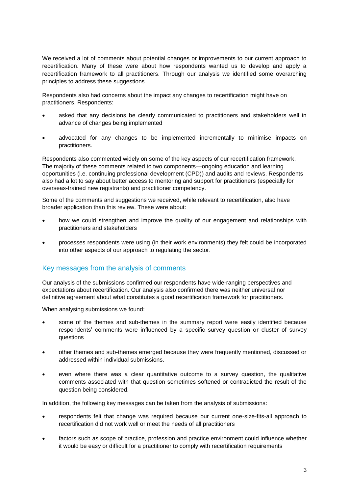We received a lot of comments about potential changes or improvements to our current approach to recertification. Many of these were about how respondents wanted us to develop and apply a recertification framework to all practitioners. Through our analysis we identified some overarching principles to address these suggestions.

Respondents also had concerns about the impact any changes to recertification might have on practitioners. Respondents:

- asked that any decisions be clearly communicated to practitioners and stakeholders well in advance of changes being implemented
- advocated for any changes to be implemented incrementally to minimise impacts on practitioners.

Respondents also commented widely on some of the key aspects of our recertification framework. The majority of these comments related to two components—ongoing education and learning opportunities (i.e. continuing professional development (CPD)) and audits and reviews. Respondents also had a lot to say about better access to mentoring and support for practitioners (especially for overseas-trained new registrants) and practitioner competency.

Some of the comments and suggestions we received, while relevant to recertification, also have broader application than this review. These were about:

- how we could strengthen and improve the quality of our engagement and relationships with practitioners and stakeholders
- processes respondents were using (in their work environments) they felt could be incorporated into other aspects of our approach to regulating the sector.

#### Key messages from the analysis of comments

Our analysis of the submissions confirmed our respondents have wide-ranging perspectives and expectations about recertification. Our analysis also confirmed there was neither universal nor definitive agreement about what constitutes a good recertification framework for practitioners.

When analysing submissions we found:

- some of the themes and sub-themes in the summary report were easily identified because respondents' comments were influenced by a specific survey question or cluster of survey questions
- other themes and sub-themes emerged because they were frequently mentioned, discussed or addressed within individual submissions.
- even where there was a clear quantitative outcome to a survey question, the qualitative comments associated with that question sometimes softened or contradicted the result of the question being considered.

In addition, the following key messages can be taken from the analysis of submissions:

- respondents felt that change was required because our current one-size-fits-all approach to recertification did not work well or meet the needs of all practitioners
- factors such as scope of practice, profession and practice environment could influence whether it would be easy or difficult for a practitioner to comply with recertification requirements